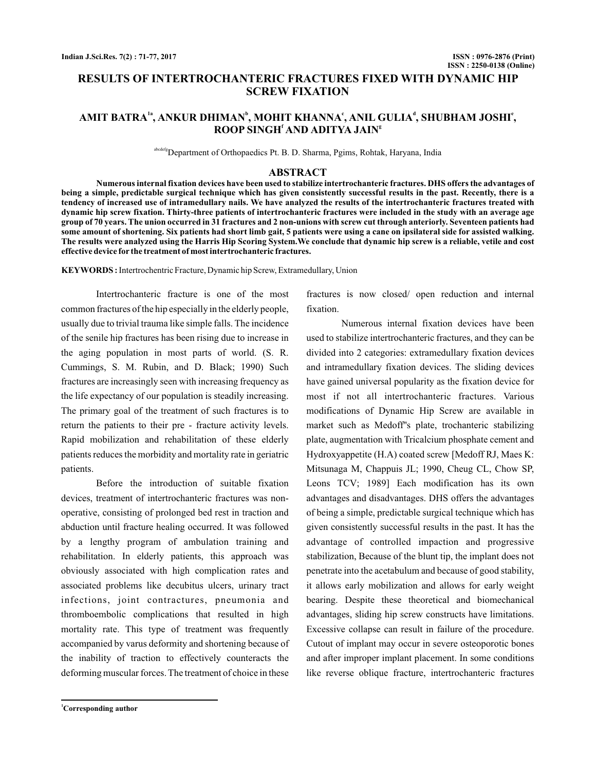# **RESULTS OF INTERTROCHANTERIC FRACTURES FIXED WITH DYNAMIC HIP SCREW FIXATION**

## AMIT BATRA<sup>1a</sup>, ANKUR DHIMAN<sup>b</sup>, MOHIT KHANNAʿ, ANIL GULIAʿ, SHUBHAM JOSHIʿ,  $\mathbf{ROOP}\ \mathbf{SINGH}^{\mathsf{f}}\ \mathbf{AND}\ \mathbf{ADITYA}\ \mathbf{JAIN}^{\mathsf{g}}$

abcdefgDepartment of Orthopaedics Pt. B. D. Sharma, Pgims, Rohtak, Haryana, India

### **ABSTRACT**

**Numerous internal fixation devices have been used to stabilize intertrochanteric fractures. DHS offers the advantages of being a simple, predictable surgical technique which has given consistently successful results in the past. Recently, there is a tendency of increased use of intramedullary nails. We have analyzed the results of the intertrochanteric fractures treated with dynamic hip screw fixation. Thirty-three patients of intertrochanteric fractures were included in the study with an average age group of 70 years. The union occurred in 31 fractures and 2 non-unions with screw cut through anteriorly. Seventeen patients had some amount of shortening. Six patients had short limb gait, 5 patients were using a cane on ipsilateral side for assisted walking. The results were analyzed using the Harris Hip Scoring System.We conclude that dynamic hip screw is a reliable, vetile and cost effective device for the treatment of most intertrochanteric fractures.**

**KEYWORDS**: Intertrochentric Fracture, Dynamic hip Screw, Extramedullary, Union

Intertrochanteric fracture is one of the most common fractures of the hip especially in the elderly people, usually due to trivial trauma like simple falls. The incidence of the senile hip fractures has been rising due to increase in the aging population in most parts of world. (S. R. Cummings, S. M. Rubin, and D. Black; 1990) Such fractures are increasingly seen with increasing frequency as the life expectancy of our population is steadily increasing. The primary goal of the treatment of such fractures is to return the patients to their pre - fracture activity levels. Rapid mobilization and rehabilitation of these elderly patients reduces the morbidity and mortality rate in geriatric patients.

Before the introduction of suitable fixation devices, treatment of intertrochanteric fractures was nonoperative, consisting of prolonged bed rest in traction and abduction until fracture healing occurred. It was followed by a lengthy program of ambulation training and rehabilitation. In elderly patients, this approach was obviously associated with high complication rates and associated problems like decubitus ulcers, urinary tract infections, joint contractures, pneumonia and thromboembolic complications that resulted in high mortality rate. This type of treatment was frequently accompanied by varus deformity and shortening because of the inability of traction to effectively counteracts the deforming muscular forces. The treatment of choice in these fractures is now closed/ open reduction and internal fixation.

Numerous internal fixation devices have been used to stabilize intertrochanteric fractures, and they can be divided into 2 categories: extramedullary fixation devices and intramedullary fixation devices. The sliding devices have gained universal popularity as the fixation device for most if not all intertrochanteric fractures. Various modifications of Dynamic Hip Screw are available in market such as Medoff''s plate, trochanteric stabilizing plate, augmentation with Tricalcium phosphate cement and Hydroxyappetite (H.A) coated screw [Medoff RJ, Maes K: Mitsunaga M, Chappuis JL; 1990, Cheug CL, Chow SP, Leons TCV; 1989] Each modification has its own advantages and disadvantages. DHS offers the advantages of being a simple, predictable surgical technique which has given consistently successful results in the past. It has the advantage of controlled impaction and progressive stabilization, Because of the blunt tip, the implant does not penetrate into the acetabulum and because of good stability, it allows early mobilization and allows for early weight bearing. Despite these theoretical and biomechanical advantages, sliding hip screw constructs have limitations. Excessive collapse can result in failure of the procedure. Cutout of implant may occur in severe osteoporotic bones and after improper implant placement. In some conditions like reverse oblique fracture, intertrochanteric fractures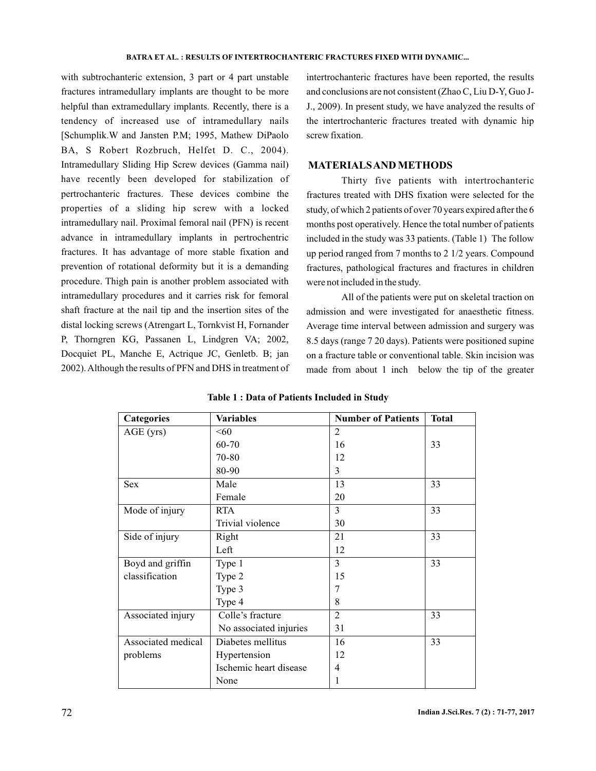with subtrochanteric extension, 3 part or 4 part unstable fractures intramedullary implants are thought to be more helpful than extramedullary implants. Recently, there is a tendency of increased use of intramedullary nails [Schumplik.W and Jansten P.M; 1995, Mathew DiPaolo BA, S Robert Rozbruch, Helfet D. C., 2004). Intramedullary Sliding Hip Screw devices (Gamma nail) have recently been developed for stabilization of pertrochanteric fractures. These devices combine the properties of a sliding hip screw with a locked intramedullary nail. Proximal femoral nail (PFN) is recent advance in intramedullary implants in pertrochentric fractures. It has advantage of more stable fixation and prevention of rotational deformity but it is a demanding procedure. Thigh pain is another problem associated with intramedullary procedures and it carries risk for femoral shaft fracture at the nail tip and the insertion sites of the distal locking screws (Atrengart L, Tornkvist H, Fornander P, Thorngren KG, Passanen L, Lindgren VA; 2002, Docquiet PL, Manche E, Actrique JC, Genletb. B; jan 2002).Although the results of PFN and DHS in treatment of intertrochanteric fractures have been reported, the results and conclusions are not consistent (Zhao C, Liu D-Y, Guo J-J., 2009). In present study, we have analyzed the results of the intertrochanteric fractures treated with dynamic hip screw fixation.

### **MATERIALSAND METHODS**

Thirty five patients with intertrochanteric fractures treated with DHS fixation were selected for the study, of which 2 patients of over 70 years expired after the 6 months post operatively. Hence the total number of patients included in the study was 33 patients. (Table 1) The follow up period ranged from 7 months to 2 1/2 years. Compound fractures, pathological fractures and fractures in children were not included in the study.

All of the patients were put on skeletal traction on admission and were investigated for anaesthetic fitness. Average time interval between admission and surgery was 8.5 days (range 7 20 days). Patients were positioned supine on a fracture table or conventional table. Skin incision was made from about 1 inch below the tip of the greater

| <b>Categories</b>  | <b>Variables</b>       | <b>Number of Patients</b> | <b>Total</b> |
|--------------------|------------------------|---------------------------|--------------|
| AGE (yrs)          | <60                    | 2                         |              |
|                    | 60-70                  | 16                        | 33           |
|                    | 70-80                  | 12                        |              |
|                    | 80-90                  | 3                         |              |
| Sex                | Male                   | 13                        | 33           |
|                    | Female                 | 20                        |              |
| Mode of injury     | <b>RTA</b>             | 3                         | 33           |
|                    | Trivial violence       | 30                        |              |
| Side of injury     | Right                  | 21                        | 33           |
|                    | Left                   | 12                        |              |
| Boyd and griffin   | Type 1                 | 3                         | 33           |
| classification     | Type 2                 | 15                        |              |
|                    | Type 3                 | 7                         |              |
|                    | Type 4                 | 8                         |              |
| Associated injury  | Colle's fracture       | $\overline{2}$            | 33           |
|                    | No associated injuries | 31                        |              |
| Associated medical | Diabetes mellitus      | 16                        | 33           |
| problems           | Hypertension           | 12                        |              |
|                    | Ischemic heart disease | 4                         |              |
|                    | None                   | 1                         |              |

|  |  |  |  |  | Table 1 : Data of Patients Included in Study |  |  |
|--|--|--|--|--|----------------------------------------------|--|--|
|--|--|--|--|--|----------------------------------------------|--|--|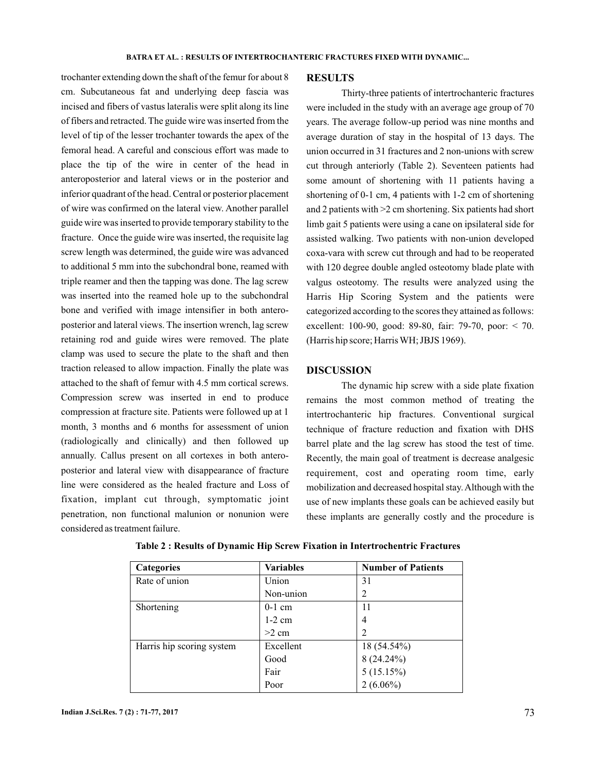trochanter extending down the shaft of the femur for about 8 cm. Subcutaneous fat and underlying deep fascia was incised and fibers of vastus lateralis were split along its line of fibers and retracted. The guide wire was inserted from the level of tip of the lesser trochanter towards the apex of the femoral head. A careful and conscious effort was made to place the tip of the wire in center of the head in anteroposterior and lateral views or in the posterior and inferior quadrant of the head. Central or posterior placement of wire was confirmed on the lateral view. Another parallel guide wire was inserted to provide temporary stability to the fracture. Once the guide wire was inserted, the requisite lag screw length was determined, the guide wire was advanced to additional 5 mm into the subchondral bone, reamed with triple reamer and then the tapping was done. The lag screw was inserted into the reamed hole up to the subchondral bone and verified with image intensifier in both anteroposterior and lateral views. The insertion wrench, lag screw retaining rod and guide wires were removed. The plate clamp was used to secure the plate to the shaft and then traction released to allow impaction. Finally the plate was attached to the shaft of femur with 4.5 mm cortical screws. Compression screw was inserted in end to produce compression at fracture site. Patients were followed up at 1 month, 3 months and 6 months for assessment of union (radiologically and clinically) and then followed up annually. Callus present on all cortexes in both anteroposterior and lateral view with disappearance of fracture line were considered as the healed fracture and Loss of fixation, implant cut through, symptomatic joint penetration, non functional malunion or nonunion were considered as treatment failure.

#### **RESULTS**

Thirty-three patients of intertrochanteric fractures were included in the study with an average age group of 70 years. The average follow-up period was nine months and average duration of stay in the hospital of 13 days. The union occurred in 31 fractures and 2 non-unions with screw cut through anteriorly (Table 2). Seventeen patients had some amount of shortening with 11 patients having a shortening of 0-1 cm, 4 patients with 1-2 cm of shortening and 2 patients with >2 cm shortening. Six patients had short limb gait 5 patients were using a cane on ipsilateral side for assisted walking. Two patients with non-union developed coxa-vara with screw cut through and had to be reoperated with 120 degree double angled osteotomy blade plate with valgus osteotomy. The results were analyzed using the Harris Hip Scoring System and the patients were categorized according to the scores they attained as follows: excellent: 100-90, good: 89-80, fair: 79-70, poor: < 70. (Harris hip score; Harris WH; JBJS 1969).

### **DISCUSSION**

The dynamic hip screw with a side plate fixation remains the most common method of treating the intertrochanteric hip fractures. Conventional surgical technique of fracture reduction and fixation with DHS barrel plate and the lag screw has stood the test of time. Recently, the main goal of treatment is decrease analgesic requirement, cost and operating room time, early mobilization and decreased hospital stay. Although with the use of new implants these goals can be achieved easily but these implants are generally costly and the procedure is

| <b>Categories</b>         | <b>Variables</b> | <b>Number of Patients</b> |
|---------------------------|------------------|---------------------------|
| Rate of union             | Union            | 31                        |
|                           | Non-union        | 2                         |
| Shortening                | $0-1$ cm         | 11                        |
|                           | $1-2$ cm         | 4                         |
|                           | $>2$ cm          | 2                         |
| Harris hip scoring system | Excellent        | 18 (54.54%)               |
|                           | Good             | $8(24.24\%)$              |
|                           | Fair             | 5(15.15%)                 |
|                           | Poor             | $2(6.06\%)$               |

**Table 2 : Results of Dynamic Hip Screw Fixation in Intertrochentric Fractures**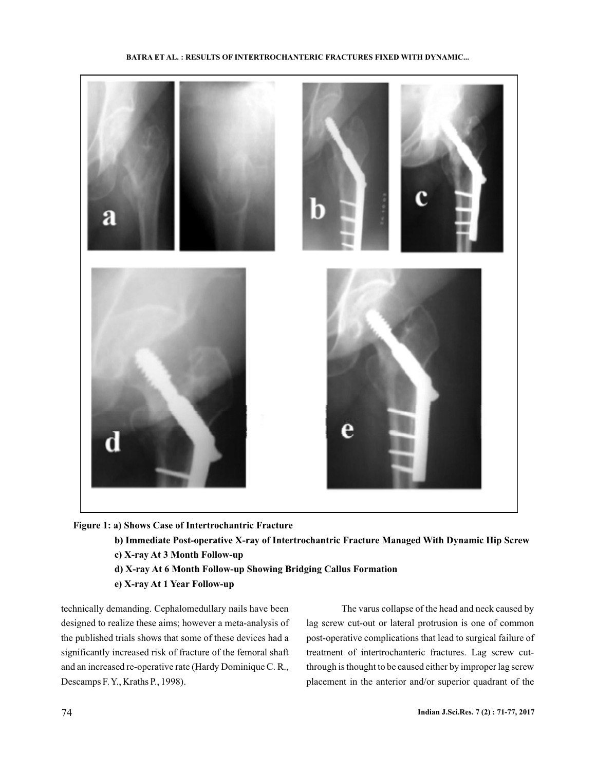



- **b) Immediate Post-operative X-ray of Intertrochantric Fracture Managed With Dynamic Hip Screw**
- **c) X-ray At 3 Month Follow-up**
- **d) X-ray At 6 Month Follow-up Showing Bridging Callus Formation**
- **e) X-ray At 1 Year Follow-up**

technically demanding. Cephalomedullary nails have been designed to realize these aims; however a meta-analysis of the published trials shows that some of these devices had a significantly increased risk of fracture of the femoral shaft and an increased re-operative rate (Hardy Dominique C. R., Descamps F.Y., Kraths P., 1998).

The varus collapse of the head and neck caused by lag screw cut-out or lateral protrusion is one of common post-operative complications that lead to surgical failure of treatment of intertrochanteric fractures. Lag screw cutthrough is thought to be caused either by improper lag screw placement in the anterior and/or superior quadrant of the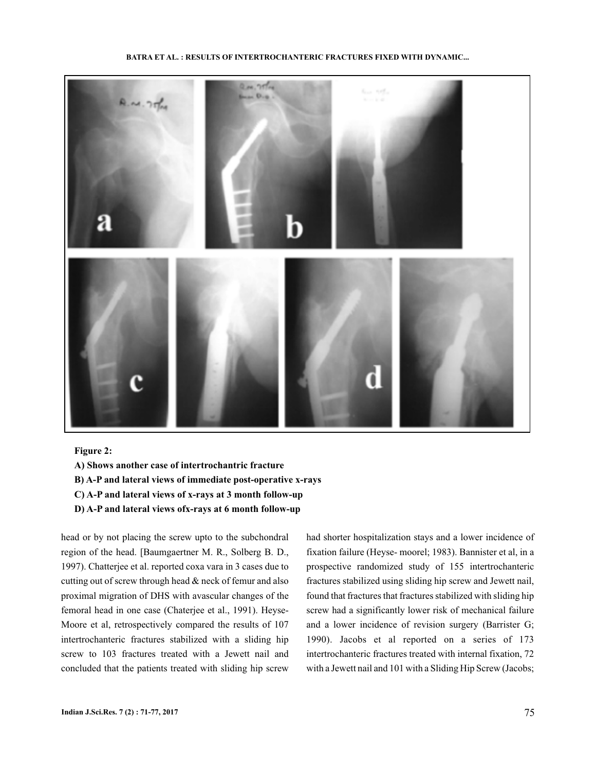

**Figure 2:**

- **B) A-P and lateral views of immediate post-operative x-rays**
- **C) A-P and lateral views of x-rays at 3 month follow-up**
- **D) A-P and lateral views ofx-rays at 6 month follow-up**

head or by not placing the screw upto to the subchondral region of the head. [Baumgaertner M. R., Solberg B. D., 1997). Chatterjee et al. reported coxa vara in 3 cases due to cutting out of screw through head & neck of femur and also proximal migration of DHS with avascular changes of the femoral head in one case (Chaterjee et al., 1991). Heyse-Moore et al, retrospectively compared the results of 107 intertrochanteric fractures stabilized with a sliding hip screw to 103 fractures treated with a Jewett nail and concluded that the patients treated with sliding hip screw

had shorter hospitalization stays and a lower incidence of fixation failure (Heyse- moorel; 1983). Bannister et al, in a prospective randomized study of 155 intertrochanteric fractures stabilized using sliding hip screw and Jewett nail, found that fractures that fractures stabilized with sliding hip screw had a significantly lower risk of mechanical failure and a lower incidence of revision surgery (Barrister G; 1990). Jacobs et al reported on a series of 173 intertrochanteric fractures treated with internal fixation, 72 with a Jewett nail and 101 with a Sliding Hip Screw (Jacobs;

**A) Shows another case of intertrochantric fracture**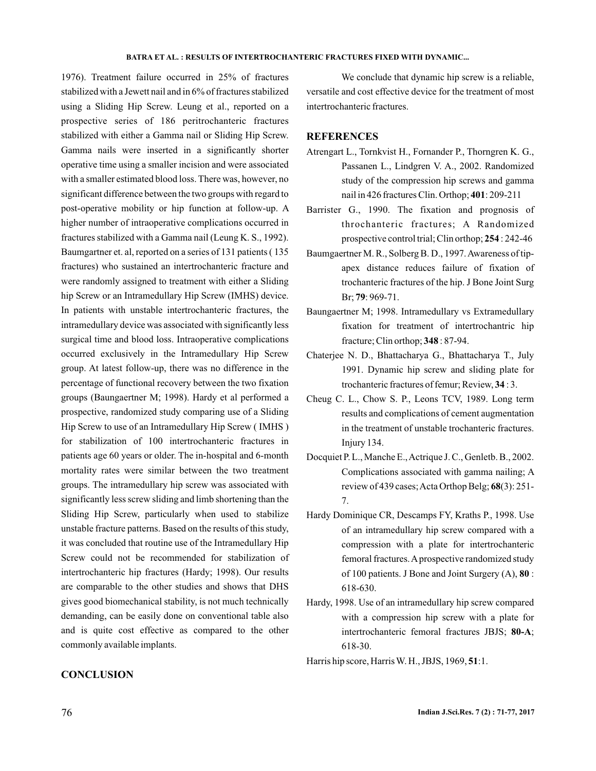1976). Treatment failure occurred in 25% of fractures stabilized with a Jewett nail and in 6% of fractures stabilized using a Sliding Hip Screw. Leung et al., reported on a prospective series of 186 peritrochanteric fractures stabilized with either a Gamma nail or Sliding Hip Screw. Gamma nails were inserted in a significantly shorter operative time using a smaller incision and were associated with a smaller estimated blood loss. There was, however, no significant difference between the two groups with regard to post-operative mobility or hip function at follow-up. A higher number of intraoperative complications occurred in fractures stabilized with a Gamma nail (Leung K. S., 1992). Baumgartner et. al, reported on a series of 131 patients ( 135 fractures) who sustained an intertrochanteric fracture and were randomly assigned to treatment with either a Sliding hip Screw or an Intramedullary Hip Screw (IMHS) device. In patients with unstable intertrochanteric fractures, the intramedullary device was associated with significantly less surgical time and blood loss. Intraoperative complications occurred exclusively in the Intramedullary Hip Screw group. At latest follow-up, there was no difference in the percentage of functional recovery between the two fixation groups (Baungaertner M; 1998). Hardy et al performed a prospective, randomized study comparing use of a Sliding Hip Screw to use of an Intramedullary Hip Screw ( IMHS ) for stabilization of 100 intertrochanteric fractures in patients age 60 years or older. The in-hospital and 6-month mortality rates were similar between the two treatment groups. The intramedullary hip screw was associated with significantly less screw sliding and limb shortening than the Sliding Hip Screw, particularly when used to stabilize unstable fracture patterns. Based on the results of this study, it was concluded that routine use of the Intramedullary Hip Screw could not be recommended for stabilization of intertrochanteric hip fractures (Hardy; 1998). Our results are comparable to the other studies and shows that DHS gives good biomechanical stability, is not much technically demanding, can be easily done on conventional table also and is quite cost effective as compared to the other commonly available implants.

We conclude that dynamic hip screw is a reliable, versatile and cost effective device for the treatment of most intertrochanteric fractures.

### **REFERENCES**

- Atrengart L., Tornkvist H., Fornander P., Thorngren K. G., Passanen L., Lindgren V. A., 2002. Randomized study of the compression hip screws and gamma nail in 426 fractures Clin. Orthop; **401**: 209-211
- Barrister G., 1990. The fixation and prognosis of throchanteric fractures; A Randomized prospective control trial; Clin orthop; 254: 242-46
- Baumgaertner M. R., Solberg B. D., 1997.Awareness of tipapex distance reduces failure of fixation of trochanteric fractures of the hip. J Bone Joint Surg Br; **79**: 969-71.
- Baungaertner M; 1998. Intramedullary vs Extramedullary fixation for treatment of intertrochantric hip fracture; Clin orthop; 348:87-94.
- Chaterjee N. D., Bhattacharya G., Bhattacharya T., July 1991. Dynamic hip screw and sliding plate for trochanteric fractures of femur; Review, 34:3.
- Cheug C. L., Chow S. P., Leons TCV, 1989. Long term results and complications of cement augmentation in the treatment of unstable trochanteric fractures. Injury 134.
- Docquiet P. L., Manche E., Actrique J. C., Genletb. B., 2002. Complications associated with gamma nailing; A review of 439 cases; Acta Orthop Belg; 68(3): 251-7.
- Hardy Dominique CR, Descamps FY, Kraths P., 1998. Use of an intramedullary hip screw compared with a compression with a plate for intertrochanteric femoral fractures.Aprospective randomized study of 100 patients. J Bone and Joint Surgery (A), 80 : 618-630.
- Hardy, 1998. Use of an intramedullary hip screw compared with a compression hip screw with a plate for intertrochanteric femoral fractures JBJS; 80-A; 618-30.

Harris hip score, Harris W. H., JBJS, 1969, 51:1.

## **CONCLUSION**